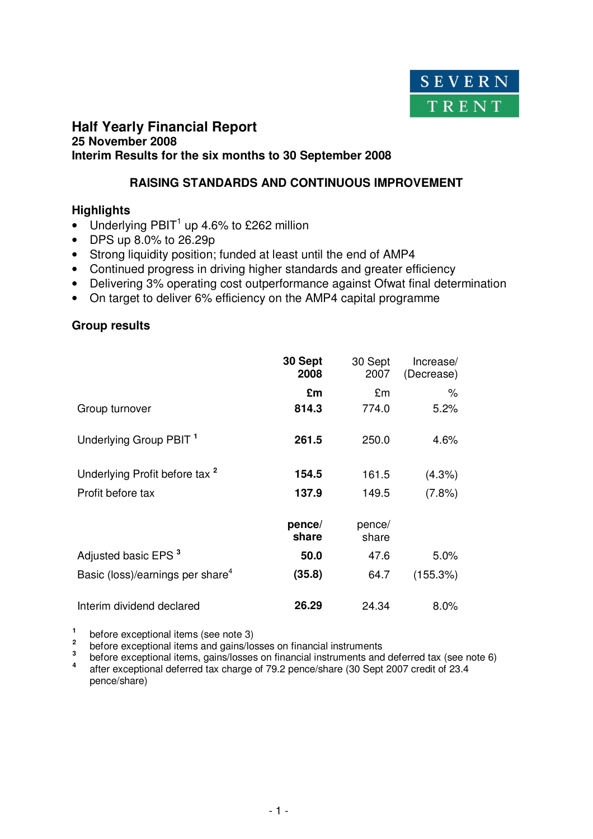

# **Half Yearly Financial Report 25 November 2008 Interim Results for the six months to 30 September 2008**

## **RAISING STANDARDS AND CONTINUOUS IMPROVEMENT**

#### **Highlights**

- Underlying PBIT<sup>1</sup> up 4.6% to £262 million
- DPS up 8.0% to 26.29p
- Strong liquidity position; funded at least until the end of AMP4
- Continued progress in driving higher standards and greater efficiency
- Delivering 3% operating cost outperformance against Ofwat final determination
- On target to deliver 6% efficiency on the AMP4 capital programme

## **Group results**

|                                              | 30 Sept<br>2008 | 30 Sept<br>2007 | Increase/<br>(Decrease) |
|----------------------------------------------|-----------------|-----------------|-------------------------|
|                                              | £m              | £m              | %                       |
| Group turnover                               | 814.3           | 774.0           | 5.2%                    |
| Underlying Group PBIT <sup>1</sup>           | 261.5           | 250.0           | 4.6%                    |
| Underlying Profit before tax <sup>2</sup>    | 154.5           | 161.5           | (4.3%)                  |
| Profit before tax                            | 137.9           | 149.5           | (7.8%)                  |
|                                              | pence/<br>share | pence/<br>share |                         |
| Adjusted basic EPS <sup>3</sup>              | 50.0            | 47.6            | 5.0%                    |
| Basic (loss)/earnings per share <sup>4</sup> | (35.8)          | 64.7            | (155.3%)                |
| Interim dividend declared                    | 26.29           | 24.34           | 8.0%                    |

**1** before exceptional items (see note 3)

**2** before exceptional items and gains/losses on financial instruments

**3** before exceptional items, gains/losses on financial instruments and deferred tax (see note 6) **4** after exceptional deferred tax charge of 79.2 pence/share (30 Sept 2007 credit of 23.4 pence/share)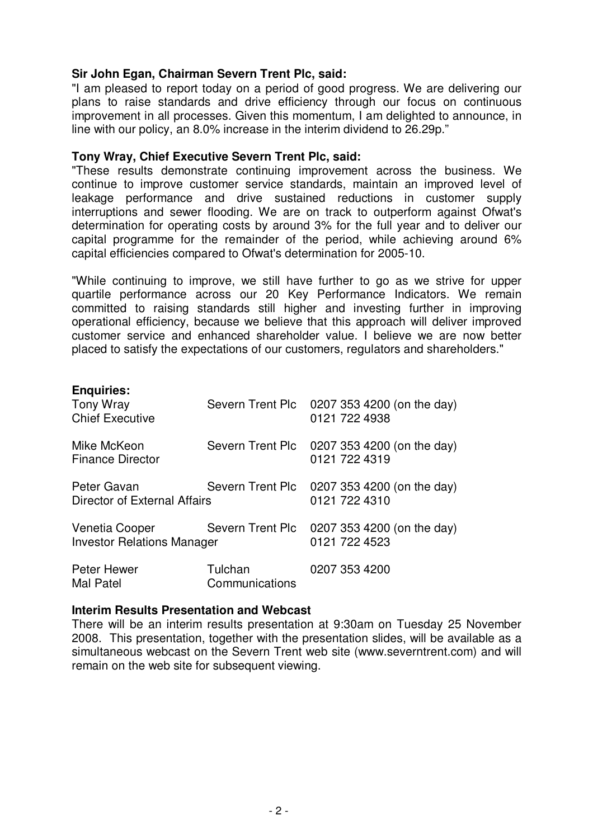## **Sir John Egan, Chairman Severn Trent Plc, said:**

"I am pleased to report today on a period of good progress. We are delivering our plans to raise standards and drive efficiency through our focus on continuous improvement in all processes. Given this momentum, I am delighted to announce, in line with our policy, an 8.0% increase in the interim dividend to 26.29p."

#### **Tony Wray, Chief Executive Severn Trent Plc, said:**

"These results demonstrate continuing improvement across the business. We continue to improve customer service standards, maintain an improved level of leakage performance and drive sustained reductions in customer supply interruptions and sewer flooding. We are on track to outperform against Ofwat's determination for operating costs by around 3% for the full year and to deliver our capital programme for the remainder of the period, while achieving around 6% capital efficiencies compared to Ofwat's determination for 2005-10.

"While continuing to improve, we still have further to go as we strive for upper quartile performance across our 20 Key Performance Indicators. We remain committed to raising standards still higher and investing further in improving operational efficiency, because we believe that this approach will deliver improved customer service and enhanced shareholder value. I believe we are now better placed to satisfy the expectations of our customers, regulators and shareholders."

#### **Enquiries:**

| <b>Tony Wray</b><br><b>Chief Executive</b>          |                           | Severn Trent Plc 0207 353 4200 (on the day)<br>0121 722 4938 |
|-----------------------------------------------------|---------------------------|--------------------------------------------------------------|
| Mike McKeon<br><b>Finance Director</b>              |                           | Severn Trent Plc 0207 353 4200 (on the day)<br>0121 722 4319 |
| Peter Gavan<br>Director of External Affairs         |                           | Severn Trent Plc 0207 353 4200 (on the day)<br>0121 722 4310 |
| Venetia Cooper<br><b>Investor Relations Manager</b> |                           | Severn Trent Plc 0207 353 4200 (on the day)<br>0121 722 4523 |
| Peter Hewer<br>Mal Patel                            | Tulchan<br>Communications | 0207 353 4200                                                |

#### **Interim Results Presentation and Webcast**

There will be an interim results presentation at 9:30am on Tuesday 25 November 2008. This presentation, together with the presentation slides, will be available as a simultaneous webcast on the Severn Trent web site (www.severntrent.com) and will remain on the web site for subsequent viewing.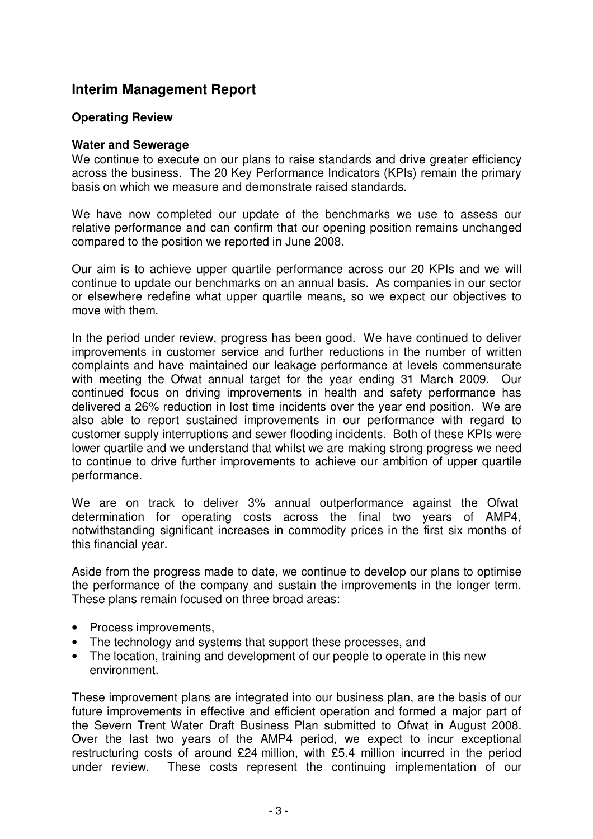# **Interim Management Report**

#### **Operating Review**

#### **Water and Sewerage**

We continue to execute on our plans to raise standards and drive greater efficiency across the business. The 20 Key Performance Indicators (KPIs) remain the primary basis on which we measure and demonstrate raised standards.

We have now completed our update of the benchmarks we use to assess our relative performance and can confirm that our opening position remains unchanged compared to the position we reported in June 2008.

Our aim is to achieve upper quartile performance across our 20 KPIs and we will continue to update our benchmarks on an annual basis. As companies in our sector or elsewhere redefine what upper quartile means, so we expect our objectives to move with them.

In the period under review, progress has been good. We have continued to deliver improvements in customer service and further reductions in the number of written complaints and have maintained our leakage performance at levels commensurate with meeting the Ofwat annual target for the year ending 31 March 2009. Our continued focus on driving improvements in health and safety performance has delivered a 26% reduction in lost time incidents over the year end position. We are also able to report sustained improvements in our performance with regard to customer supply interruptions and sewer flooding incidents. Both of these KPIs were lower quartile and we understand that whilst we are making strong progress we need to continue to drive further improvements to achieve our ambition of upper quartile performance.

We are on track to deliver 3% annual outperformance against the Ofwat determination for operating costs across the final two years of AMP4, notwithstanding significant increases in commodity prices in the first six months of this financial year.

Aside from the progress made to date, we continue to develop our plans to optimise the performance of the company and sustain the improvements in the longer term. These plans remain focused on three broad areas:

- Process improvements.
- The technology and systems that support these processes, and
- The location, training and development of our people to operate in this new environment.

These improvement plans are integrated into our business plan, are the basis of our future improvements in effective and efficient operation and formed a major part of the Severn Trent Water Draft Business Plan submitted to Ofwat in August 2008. Over the last two years of the AMP4 period, we expect to incur exceptional restructuring costs of around £24 million, with £5.4 million incurred in the period under review. These costs represent the continuing implementation of our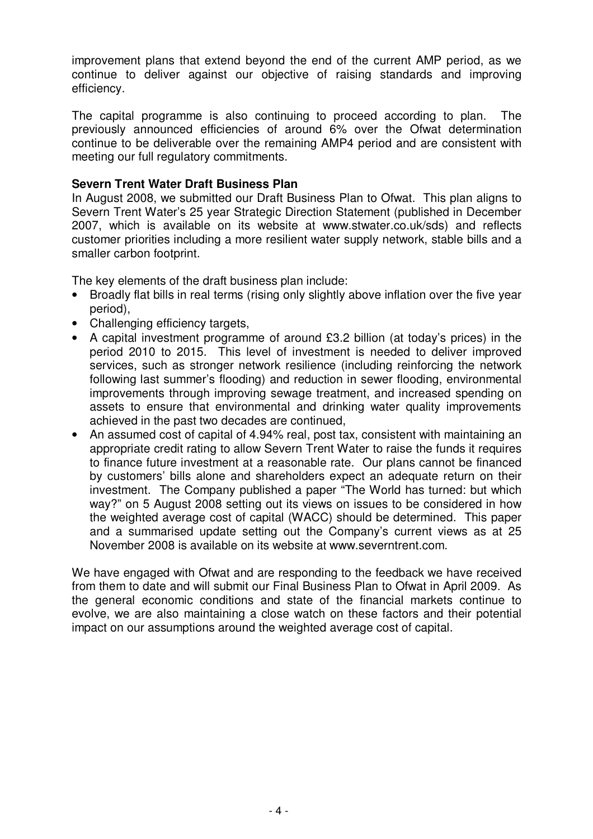improvement plans that extend beyond the end of the current AMP period, as we continue to deliver against our objective of raising standards and improving efficiency.

The capital programme is also continuing to proceed according to plan. The previously announced efficiencies of around 6% over the Ofwat determination continue to be deliverable over the remaining AMP4 period and are consistent with meeting our full regulatory commitments.

## **Severn Trent Water Draft Business Plan**

In August 2008, we submitted our Draft Business Plan to Ofwat. This plan aligns to Severn Trent Water's 25 year Strategic Direction Statement (published in December 2007, which is available on its website at www.stwater.co.uk/sds) and reflects customer priorities including a more resilient water supply network, stable bills and a smaller carbon footprint.

The key elements of the draft business plan include:

- Broadly flat bills in real terms (rising only slightly above inflation over the five year period),
- Challenging efficiency targets,
- A capital investment programme of around £3.2 billion (at today's prices) in the period 2010 to 2015. This level of investment is needed to deliver improved services, such as stronger network resilience (including reinforcing the network following last summer's flooding) and reduction in sewer flooding, environmental improvements through improving sewage treatment, and increased spending on assets to ensure that environmental and drinking water quality improvements achieved in the past two decades are continued,
- An assumed cost of capital of 4.94% real, post tax, consistent with maintaining an appropriate credit rating to allow Severn Trent Water to raise the funds it requires to finance future investment at a reasonable rate. Our plans cannot be financed by customers' bills alone and shareholders expect an adequate return on their investment. The Company published a paper "The World has turned: but which way?" on 5 August 2008 setting out its views on issues to be considered in how the weighted average cost of capital (WACC) should be determined. This paper and a summarised update setting out the Company's current views as at 25 November 2008 is available on its website at www.severntrent.com.

We have engaged with Ofwat and are responding to the feedback we have received from them to date and will submit our Final Business Plan to Ofwat in April 2009. As the general economic conditions and state of the financial markets continue to evolve, we are also maintaining a close watch on these factors and their potential impact on our assumptions around the weighted average cost of capital.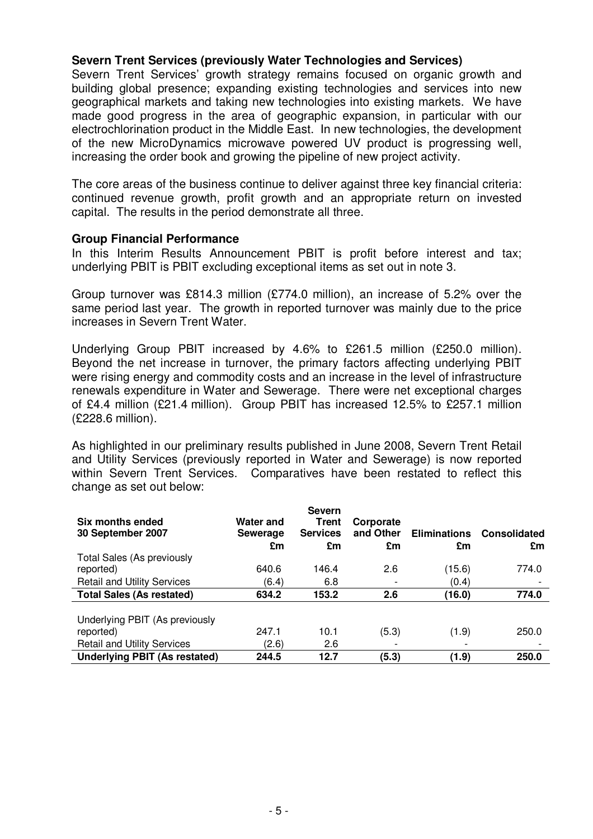#### **Severn Trent Services (previously Water Technologies and Services)**

Severn Trent Services' growth strategy remains focused on organic growth and building global presence; expanding existing technologies and services into new geographical markets and taking new technologies into existing markets. We have made good progress in the area of geographic expansion, in particular with our electrochlorination product in the Middle East. In new technologies, the development of the new MicroDynamics microwave powered UV product is progressing well, increasing the order book and growing the pipeline of new project activity.

The core areas of the business continue to deliver against three key financial criteria: continued revenue growth, profit growth and an appropriate return on invested capital. The results in the period demonstrate all three.

#### **Group Financial Performance**

In this Interim Results Announcement PBIT is profit before interest and tax; underlying PBIT is PBIT excluding exceptional items as set out in note 3.

Group turnover was £814.3 million (£774.0 million), an increase of 5.2% over the same period last year. The growth in reported turnover was mainly due to the price increases in Severn Trent Water.

Underlying Group PBIT increased by 4.6% to £261.5 million (£250.0 million). Beyond the net increase in turnover, the primary factors affecting underlying PBIT were rising energy and commodity costs and an increase in the level of infrastructure renewals expenditure in Water and Sewerage. There were net exceptional charges of £4.4 million (£21.4 million). Group PBIT has increased 12.5% to £257.1 million (£228.6 million).

As highlighted in our preliminary results published in June 2008, Severn Trent Retail and Utility Services (previously reported in Water and Sewerage) is now reported within Severn Trent Services. Comparatives have been restated to reflect this change as set out below:

| Six months ended<br>30 September 2007       | Water and<br><b>Sewerage</b><br>£m | <b>Severn</b><br>Trent<br><b>Services</b><br>£m | Corporate<br>and Other<br>£m | <b>Eliminations</b><br>£m | Consolidated<br>£m |
|---------------------------------------------|------------------------------------|-------------------------------------------------|------------------------------|---------------------------|--------------------|
| <b>Total Sales (As previously</b>           |                                    |                                                 |                              |                           |                    |
| reported)                                   | 640.6                              | 146.4                                           | 2.6                          | (15.6)                    | 774.0              |
| <b>Retail and Utility Services</b>          | (6.4)                              | 6.8                                             |                              | (0.4)                     |                    |
| <b>Total Sales (As restated)</b>            | 634.2                              | 153.2                                           | 2.6                          | (16.0)                    | 774.0              |
| Underlying PBIT (As previously<br>reported) | 247.1                              | 10.1                                            | (5.3)                        | (1.9)                     | 250.0              |
| <b>Retail and Utility Services</b>          | (2.6)                              | 2.6                                             | -                            |                           |                    |
| <b>Underlying PBIT (As restated)</b>        | 244.5                              | 12.7                                            | (5.3)                        | (1.9)                     | 250.0              |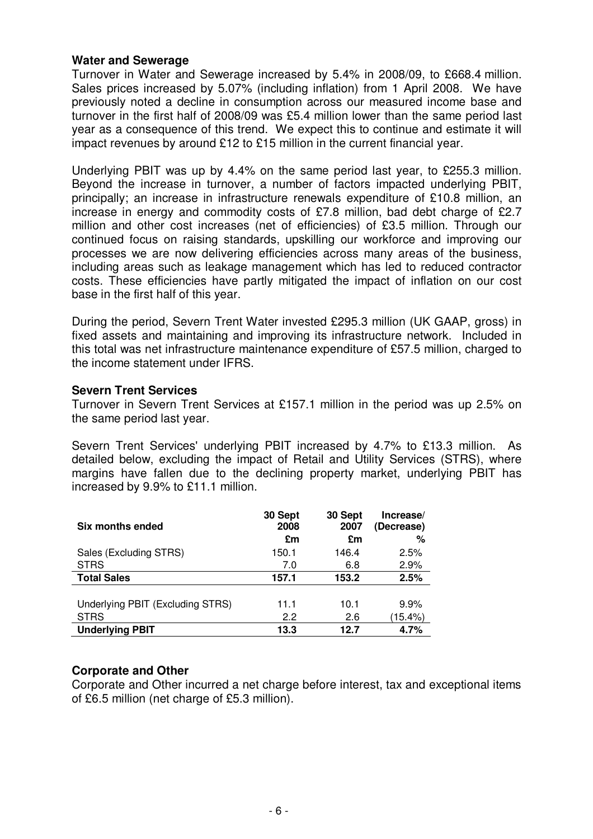#### **Water and Sewerage**

Turnover in Water and Sewerage increased by 5.4% in 2008/09, to £668.4 million. Sales prices increased by 5.07% (including inflation) from 1 April 2008. We have previously noted a decline in consumption across our measured income base and turnover in the first half of 2008/09 was £5.4 million lower than the same period last year as a consequence of this trend. We expect this to continue and estimate it will impact revenues by around £12 to £15 million in the current financial year.

Underlying PBIT was up by 4.4% on the same period last year, to £255.3 million. Beyond the increase in turnover, a number of factors impacted underlying PBIT, principally; an increase in infrastructure renewals expenditure of £10.8 million, an increase in energy and commodity costs of £7.8 million, bad debt charge of £2.7 million and other cost increases (net of efficiencies) of £3.5 million. Through our continued focus on raising standards, upskilling our workforce and improving our processes we are now delivering efficiencies across many areas of the business, including areas such as leakage management which has led to reduced contractor costs. These efficiencies have partly mitigated the impact of inflation on our cost base in the first half of this year.

During the period, Severn Trent Water invested £295.3 million (UK GAAP, gross) in fixed assets and maintaining and improving its infrastructure network. Included in this total was net infrastructure maintenance expenditure of £57.5 million, charged to the income statement under IFRS.

#### **Severn Trent Services**

Turnover in Severn Trent Services at £157.1 million in the period was up 2.5% on the same period last year.

Severn Trent Services' underlying PBIT increased by 4.7% to £13.3 million. As detailed below, excluding the impact of Retail and Utility Services (STRS), where margins have fallen due to the declining property market, underlying PBIT has increased by 9.9% to £11.1 million.

| Six months ended                 | 30 Sept<br>2008<br>£m | 30 Sept<br>2007<br>£m | Increase/<br>(Decrease)<br>% |
|----------------------------------|-----------------------|-----------------------|------------------------------|
| Sales (Excluding STRS)           | 150.1                 | 146.4                 | 2.5%                         |
| <b>STRS</b>                      | 7.0                   | 6.8                   | 2.9%                         |
| <b>Total Sales</b>               | 157.1                 | 153.2                 | 2.5%                         |
|                                  |                       |                       |                              |
| Underlying PBIT (Excluding STRS) | 11.1                  | 10.1                  | 9.9%                         |
| <b>STRS</b>                      | 2.2                   | 2.6                   | 15.4%                        |
| <b>Underlying PBIT</b>           | 13.3                  | 12.7                  | 4.7%                         |

#### **Corporate and Other**

Corporate and Other incurred a net charge before interest, tax and exceptional items of £6.5 million (net charge of £5.3 million).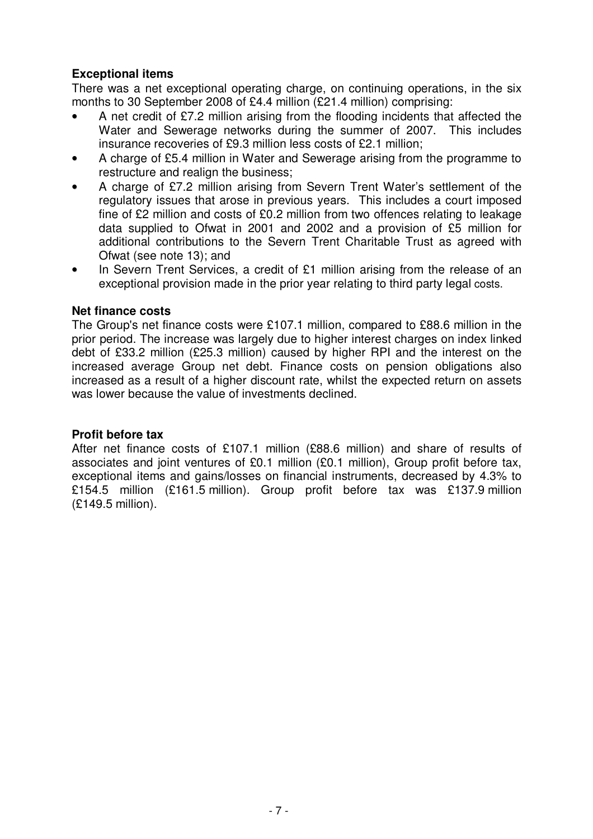# **Exceptional items**

There was a net exceptional operating charge, on continuing operations, in the six months to 30 September 2008 of £4.4 million (£21.4 million) comprising:

- A net credit of £7.2 million arising from the flooding incidents that affected the Water and Sewerage networks during the summer of 2007. This includes insurance recoveries of £9.3 million less costs of £2.1 million;
- A charge of £5.4 million in Water and Sewerage arising from the programme to restructure and realign the business;
- A charge of £7.2 million arising from Severn Trent Water's settlement of the regulatory issues that arose in previous years. This includes a court imposed fine of £2 million and costs of £0.2 million from two offences relating to leakage data supplied to Ofwat in 2001 and 2002 and a provision of £5 million for additional contributions to the Severn Trent Charitable Trust as agreed with Ofwat (see note 13); and
- In Severn Trent Services, a credit of £1 million arising from the release of an exceptional provision made in the prior year relating to third party legal costs.

#### **Net finance costs**

The Group's net finance costs were £107.1 million, compared to £88.6 million in the prior period. The increase was largely due to higher interest charges on index linked debt of £33.2 million (£25.3 million) caused by higher RPI and the interest on the increased average Group net debt. Finance costs on pension obligations also increased as a result of a higher discount rate, whilst the expected return on assets was lower because the value of investments declined.

#### **Profit before tax**

After net finance costs of £107.1 million (£88.6 million) and share of results of associates and joint ventures of £0.1 million (£0.1 million), Group profit before tax, exceptional items and gains/losses on financial instruments, decreased by 4.3% to £154.5 million (£161.5 million). Group profit before tax was £137.9 million (£149.5 million).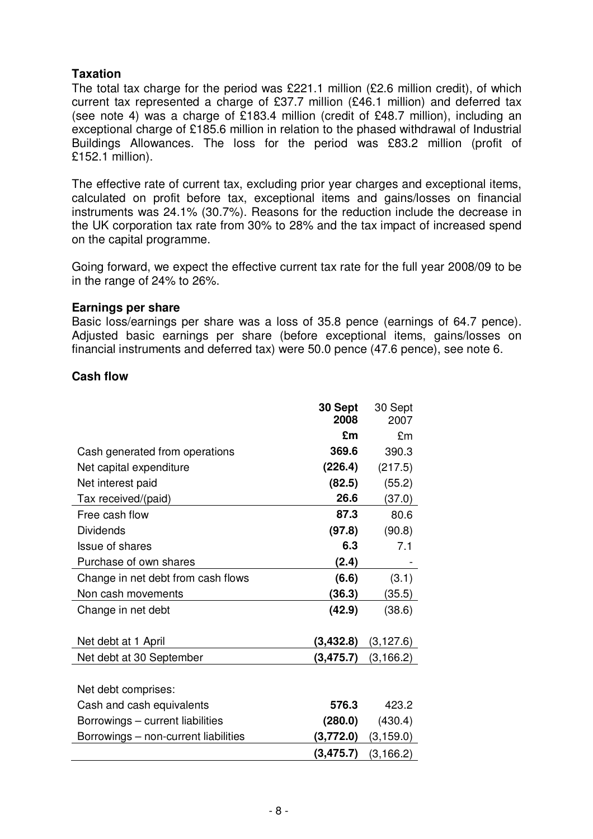## **Taxation**

The total tax charge for the period was £221.1 million (£2.6 million credit), of which current tax represented a charge of £37.7 million (£46.1 million) and deferred tax (see note 4) was a charge of £183.4 million (credit of £48.7 million), including an exceptional charge of £185.6 million in relation to the phased withdrawal of Industrial Buildings Allowances. The loss for the period was £83.2 million (profit of £152.1 million).

The effective rate of current tax, excluding prior year charges and exceptional items, calculated on profit before tax, exceptional items and gains/losses on financial instruments was 24.1% (30.7%). Reasons for the reduction include the decrease in the UK corporation tax rate from 30% to 28% and the tax impact of increased spend on the capital programme.

Going forward, we expect the effective current tax rate for the full year 2008/09 to be in the range of 24% to 26%.

#### **Earnings per share**

Basic loss/earnings per share was a loss of 35.8 pence (earnings of 64.7 pence). Adjusted basic earnings per share (before exceptional items, gains/losses on financial instruments and deferred tax) were 50.0 pence (47.6 pence), see note 6.

## **Cash flow**

|                                      | 30 Sept<br>2008 | 30 Sept<br>2007 |
|--------------------------------------|-----------------|-----------------|
|                                      | £m              | £m              |
| Cash generated from operations       | 369.6           | 390.3           |
| Net capital expenditure              | (226.4)         | (217.5)         |
| Net interest paid                    | (82.5)          | (55.2)          |
| Tax received/(paid)                  | 26.6            | (37.0)          |
| Free cash flow                       | 87.3            | 80.6            |
| Dividends                            | (97.8)          | (90.8)          |
| <b>Issue of shares</b>               | 6.3             | 7.1             |
| Purchase of own shares               | (2.4)           |                 |
| Change in net debt from cash flows   | (6.6)           | (3.1)           |
| Non cash movements                   | (36.3)          | (35.5)          |
| Change in net debt                   | (42.9)          | (38.6)          |
|                                      |                 |                 |
| Net debt at 1 April                  | (3,432.8)       | (3, 127.6)      |
| Net debt at 30 September             | (3, 475.7)      | (3, 166.2)      |
|                                      |                 |                 |
| Net debt comprises:                  |                 |                 |
| Cash and cash equivalents            | 576.3           | 423.2           |
| Borrowings – current liabilities     | (280.0)         | (430.4)         |
| Borrowings - non-current liabilities | (3,772.0)       | (3, 159.0)      |
|                                      | (3, 475.7)      | (3, 166.2)      |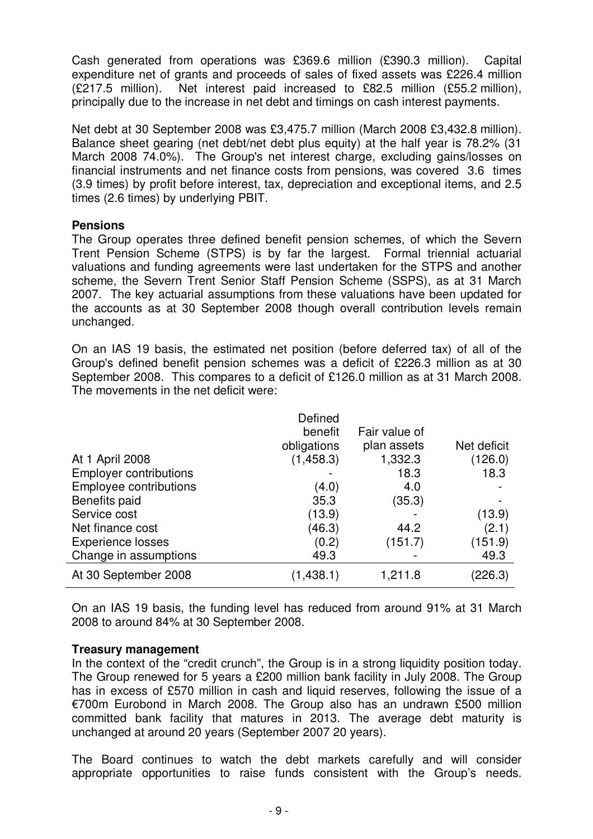Cash generated from operations was £369.6 million (£390.3 million). Capital expenditure net of grants and proceeds of sales of fixed assets was £226.4 million (£217.5 million). Net interest paid increased to £82.5 million (£55.2 million), principally due to the increase in net debt and timings on cash interest payments.

Net debt at 30 September 2008 was £3,475.7 million (March 2008 £3,432.8 million). Balance sheet gearing (net debt/net debt plus equity) at the half year is 78.2% (31 March 2008 74.0%). The Group's net interest charge, excluding gains/losses on financial instruments and net finance costs from pensions, was covered 3.6 times (3.9 times) by profit before interest, tax, depreciation and exceptional items, and 2.5 times (2.6 times) by underlying PBIT.

#### **Pensions**

The Group operates three defined benefit pension schemes, of which the Severn Trent Pension Scheme (STPS) is by far the largest. Formal triennial actuarial valuations and funding agreements were last undertaken for the STPS and another scheme, the Severn Trent Senior Staff Pension Scheme (SSPS), as at 31 March 2007. The key actuarial assumptions from these valuations have been updated for the accounts as at 30 September 2008 though overall contribution levels remain unchanged.

On an IAS 19 basis, the estimated net position (before deferred tax) of all of the Group's defined benefit pension schemes was a deficit of £226.3 million as at 30 September 2008. This compares to a deficit of £126.0 million as at 31 March 2008. The movements in the net deficit were:

|                               | Defined     |               |             |
|-------------------------------|-------------|---------------|-------------|
|                               | benefit     | Fair value of |             |
|                               | obligations | plan assets   | Net deficit |
| At 1 April 2008               | (1,458.3)   | 1,332.3       | (126.0)     |
| <b>Employer contributions</b> |             | 18.3          | 18.3        |
| <b>Employee contributions</b> | (4.0)       | 4.0           |             |
| Benefits paid                 | 35.3        | (35.3)        |             |
| Service cost                  | (13.9)      |               | (13.9)      |
| Net finance cost              | (46.3)      | 44.2          | (2.1)       |
| Experience losses             | (0.2)       | (151.7)       | (151.9)     |
| Change in assumptions         | 49.3        |               | 49.3        |
| At 30 September 2008          | (1,438.1)   | 1,211.8       | (226.3)     |

On an IAS 19 basis, the funding level has reduced from around 91% at 31 March 2008 to around 84% at 30 September 2008.

#### **Treasury management**

In the context of the "credit crunch", the Group is in a strong liquidity position today. The Group renewed for 5 years a £200 million bank facility in July 2008. The Group has in excess of £570 million in cash and liquid reserves, following the issue of a €700m Eurobond in March 2008. The Group also has an undrawn £500 million committed bank facility that matures in 2013. The average debt maturity is unchanged at around 20 years (September 2007 20 years).

The Board continues to watch the debt markets carefully and will consider appropriate opportunities to raise funds consistent with the Group's needs.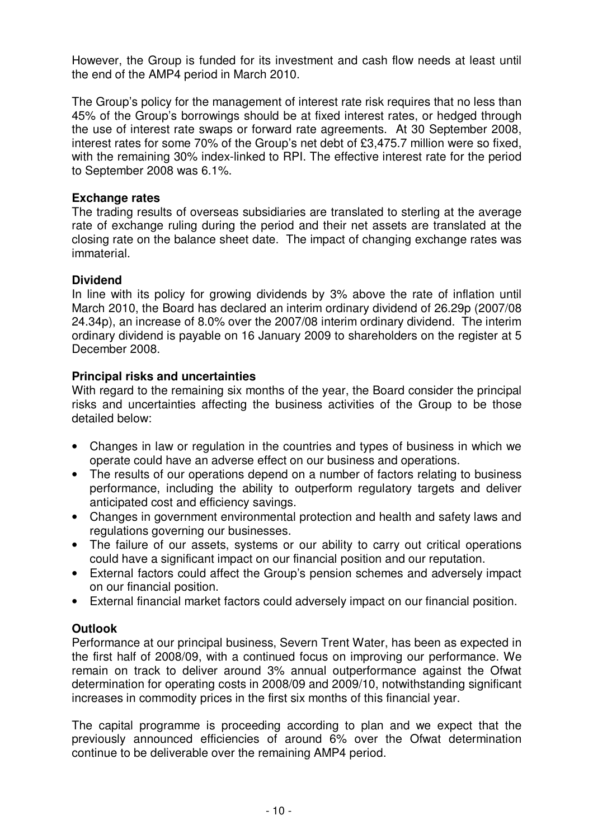However, the Group is funded for its investment and cash flow needs at least until the end of the AMP4 period in March 2010.

The Group's policy for the management of interest rate risk requires that no less than 45% of the Group's borrowings should be at fixed interest rates, or hedged through the use of interest rate swaps or forward rate agreements. At 30 September 2008, interest rates for some 70% of the Group's net debt of £3,475.7 million were so fixed, with the remaining 30% index-linked to RPI. The effective interest rate for the period to September 2008 was 6.1%.

#### **Exchange rates**

The trading results of overseas subsidiaries are translated to sterling at the average rate of exchange ruling during the period and their net assets are translated at the closing rate on the balance sheet date. The impact of changing exchange rates was immaterial.

## **Dividend**

In line with its policy for growing dividends by 3% above the rate of inflation until March 2010, the Board has declared an interim ordinary dividend of 26.29p (2007/08 24.34p), an increase of 8.0% over the 2007/08 interim ordinary dividend. The interim ordinary dividend is payable on 16 January 2009 to shareholders on the register at 5 December 2008.

## **Principal risks and uncertainties**

With regard to the remaining six months of the year, the Board consider the principal risks and uncertainties affecting the business activities of the Group to be those detailed below:

- Changes in law or regulation in the countries and types of business in which we operate could have an adverse effect on our business and operations.
- The results of our operations depend on a number of factors relating to business performance, including the ability to outperform regulatory targets and deliver anticipated cost and efficiency savings.
- Changes in government environmental protection and health and safety laws and regulations governing our businesses.
- The failure of our assets, systems or our ability to carry out critical operations could have a significant impact on our financial position and our reputation.
- External factors could affect the Group's pension schemes and adversely impact on our financial position.
- External financial market factors could adversely impact on our financial position.

# **Outlook**

Performance at our principal business, Severn Trent Water, has been as expected in the first half of 2008/09, with a continued focus on improving our performance. We remain on track to deliver around 3% annual outperformance against the Ofwat determination for operating costs in 2008/09 and 2009/10, notwithstanding significant increases in commodity prices in the first six months of this financial year.

The capital programme is proceeding according to plan and we expect that the previously announced efficiencies of around 6% over the Ofwat determination continue to be deliverable over the remaining AMP4 period.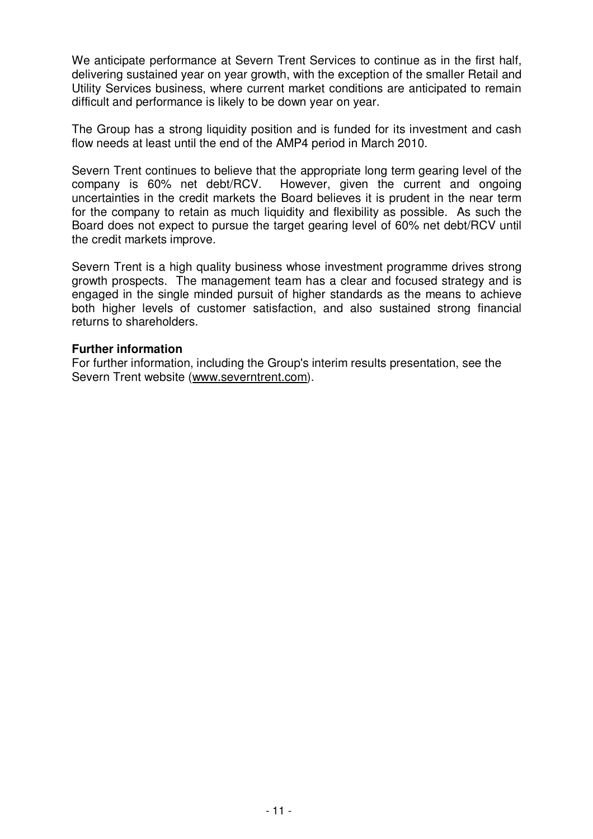We anticipate performance at Severn Trent Services to continue as in the first half, delivering sustained year on year growth, with the exception of the smaller Retail and Utility Services business, where current market conditions are anticipated to remain difficult and performance is likely to be down year on year.

The Group has a strong liquidity position and is funded for its investment and cash flow needs at least until the end of the AMP4 period in March 2010.

Severn Trent continues to believe that the appropriate long term gearing level of the company is 60% net debt/RCV. However, given the current and ongoing uncertainties in the credit markets the Board believes it is prudent in the near term for the company to retain as much liquidity and flexibility as possible. As such the Board does not expect to pursue the target gearing level of 60% net debt/RCV until the credit markets improve.

Severn Trent is a high quality business whose investment programme drives strong growth prospects. The management team has a clear and focused strategy and is engaged in the single minded pursuit of higher standards as the means to achieve both higher levels of customer satisfaction, and also sustained strong financial returns to shareholders.

#### **Further information**

For further information, including the Group's interim results presentation, see the Severn Trent website (www.severntrent.com).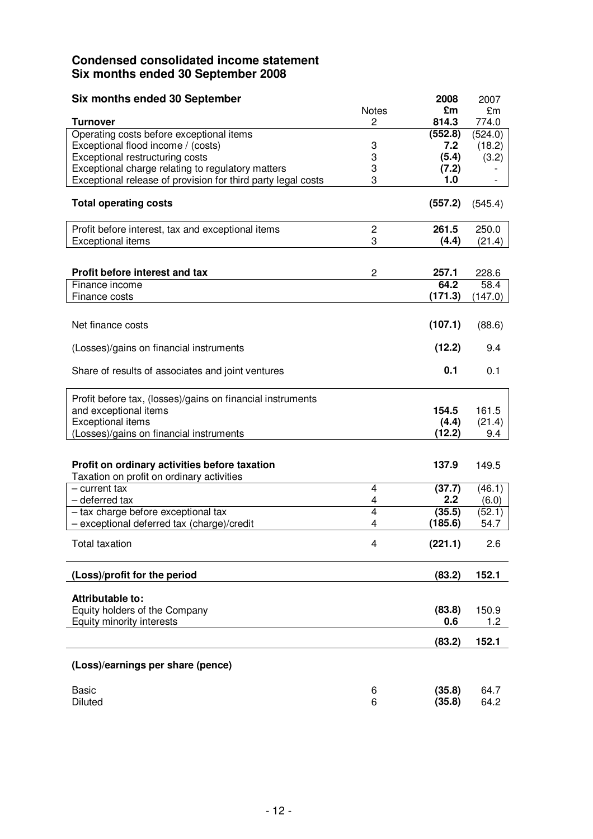# **Condensed consolidated income statement Six months ended 30 September 2008**

| Six months ended 30 September                                                              |                | 2008    | 2007    |
|--------------------------------------------------------------------------------------------|----------------|---------|---------|
|                                                                                            | <b>Notes</b>   | £m      | £m      |
| <b>Turnover</b>                                                                            | $\overline{2}$ | 814.3   | 774.0   |
| Operating costs before exceptional items                                                   |                | (552.8) | (524.0) |
| Exceptional flood income / (costs)                                                         | 3              | 7.2     | (18.2)  |
| Exceptional restructuring costs                                                            | 3              | (5.4)   | (3.2)   |
| Exceptional charge relating to regulatory matters                                          | 3              | (7.2)   |         |
| Exceptional release of provision for third party legal costs                               | 3              | 1.0     |         |
| <b>Total operating costs</b>                                                               |                | (557.2) | (545.4) |
| Profit before interest, tax and exceptional items                                          | 2              | 261.5   | 250.0   |
| <b>Exceptional items</b>                                                                   | 3              | (4.4)   | (21.4)  |
|                                                                                            |                |         |         |
| Profit before interest and tax                                                             | $\overline{c}$ | 257.1   | 228.6   |
| Finance income                                                                             |                | 64.2    | 58.4    |
| Finance costs                                                                              |                | (171.3) | (147.0) |
|                                                                                            |                |         |         |
| Net finance costs                                                                          |                | (107.1) | (88.6)  |
| (Losses)/gains on financial instruments                                                    |                | (12.2)  | 9.4     |
| Share of results of associates and joint ventures                                          |                | 0.1     | 0.1     |
| Profit before tax, (losses)/gains on financial instruments                                 |                |         |         |
| and exceptional items                                                                      |                | 154.5   | 161.5   |
| <b>Exceptional items</b>                                                                   |                | (4.4)   | (21.4)  |
| (Losses)/gains on financial instruments                                                    |                | (12.2)  | 9.4     |
|                                                                                            |                |         |         |
|                                                                                            |                |         |         |
| Profit on ordinary activities before taxation<br>Taxation on profit on ordinary activities |                | 137.9   | 149.5   |
| $-$ current tax                                                                            | 4              | (37.7)  | (46.1)  |
| - deferred tax                                                                             | 4              | 2.2     | (6.0)   |
| - tax charge before exceptional tax                                                        | 4              | (35.5)  | (52.1)  |
| - exceptional deferred tax (charge)/credit                                                 | 4              | (185.6) | 54.7    |
| <b>Total taxation</b>                                                                      | 4              | (221.1) | 2.6     |
|                                                                                            |                |         |         |
| (Loss)/profit for the period                                                               |                | (83.2)  | 152.1   |
| Attributable to:                                                                           |                |         |         |
| Equity holders of the Company                                                              |                | (83.8)  | 150.9   |
| Equity minority interests                                                                  |                | 0.6     | 1.2     |
|                                                                                            |                |         |         |
|                                                                                            |                | (83.2)  | 152.1   |
| (Loss)/earnings per share (pence)                                                          |                |         |         |
| <b>Basic</b>                                                                               | 6              | (35.8)  | 64.7    |
| <b>Diluted</b>                                                                             | 6              | (35.8)  | 64.2    |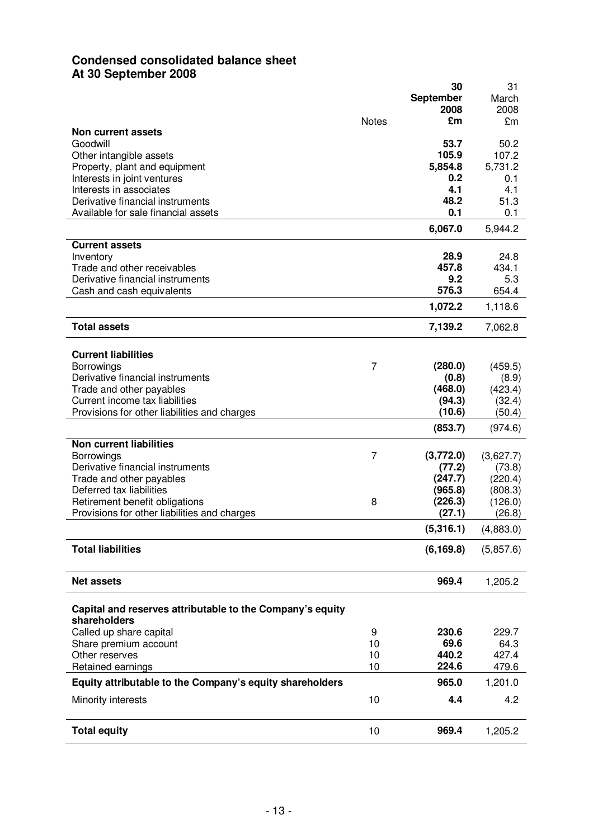# **Condensed consolidated balance sheet At 30 September 2008**

|                                                           |              | 30               | 31        |
|-----------------------------------------------------------|--------------|------------------|-----------|
|                                                           |              | <b>September</b> | March     |
|                                                           |              | 2008             | 2008      |
|                                                           | <b>Notes</b> | £m               | £m        |
| Non current assets                                        |              |                  |           |
| Goodwill                                                  |              | 53.7             | 50.2      |
| Other intangible assets                                   |              | 105.9            | 107.2     |
| Property, plant and equipment                             |              | 5,854.8          | 5,731.2   |
| Interests in joint ventures                               |              | 0.2              | 0.1       |
| Interests in associates                                   |              | 4.1              | 4.1       |
| Derivative financial instruments                          |              | 48.2             | 51.3      |
| Available for sale financial assets                       |              | 0.1              | 0.1       |
|                                                           |              |                  |           |
|                                                           |              | 6,067.0          | 5,944.2   |
| <b>Current assets</b>                                     |              |                  |           |
| Inventory                                                 |              | 28.9             | 24.8      |
| Trade and other receivables                               |              | 457.8            | 434.1     |
| Derivative financial instruments                          |              | 9.2              | 5.3       |
| Cash and cash equivalents                                 |              | 576.3            | 654.4     |
|                                                           |              | 1,072.2          | 1,118.6   |
|                                                           |              |                  |           |
| <b>Total assets</b>                                       |              | 7,139.2          | 7,062.8   |
|                                                           |              |                  |           |
| <b>Current liabilities</b>                                |              |                  |           |
| <b>Borrowings</b>                                         | 7            | (280.0)          | (459.5)   |
| Derivative financial instruments                          |              | (0.8)            | (8.9)     |
| Trade and other payables                                  |              | (468.0)          | (423.4)   |
| Current income tax liabilities                            |              | (94.3)           | (32.4)    |
| Provisions for other liabilities and charges              |              | (10.6)           | (50.4)    |
|                                                           |              | (853.7)          | (974.6)   |
| <b>Non current liabilities</b>                            |              |                  |           |
| <b>Borrowings</b>                                         | 7            | (3,772.0)        | (3,627.7) |
| Derivative financial instruments                          |              | (77.2)           |           |
|                                                           |              |                  | (73.8)    |
| Trade and other payables                                  |              | (247.7)          | (220.4)   |
| Deferred tax liabilities                                  |              | (965.8)          | (808.3)   |
| Retirement benefit obligations                            | 8            | (226.3)          | (126.0)   |
| Provisions for other liabilities and charges              |              | (27.1)           | (26.8)    |
|                                                           |              | (5,316.1)        | (4,883.0) |
| <b>Total liabilities</b>                                  |              | (6, 169.8)       | (5,857.6) |
|                                                           |              |                  |           |
| <b>Net assets</b>                                         |              | 969.4            | 1,205.2   |
|                                                           |              |                  |           |
| Capital and reserves attributable to the Company's equity |              |                  |           |
| shareholders                                              |              |                  |           |
| Called up share capital                                   | 9            | 230.6            | 229.7     |
| Share premium account                                     | 10           | 69.6             | 64.3      |
| Other reserves                                            | 10           | 440.2            | 427.4     |
| Retained earnings                                         | 10           | 224.6            | 479.6     |
|                                                           |              | 965.0            |           |
| Equity attributable to the Company's equity shareholders  |              |                  | 1,201.0   |
| Minority interests                                        | 10           | 4.4              | 4.2       |
|                                                           |              |                  |           |
| <b>Total equity</b>                                       | 10           | 969.4            | 1,205.2   |
|                                                           |              |                  |           |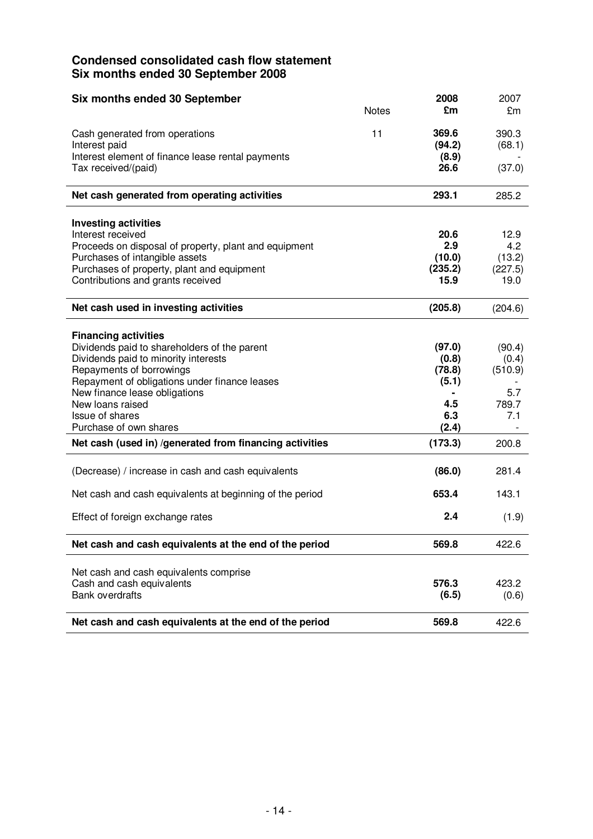#### **Condensed consolidated cash flow statement Six months ended 30 September 2008**

| Six months ended 30 September                                                     |              | 2008             | 2007    |
|-----------------------------------------------------------------------------------|--------------|------------------|---------|
|                                                                                   | <b>Notes</b> | £m               | £m      |
| Cash generated from operations                                                    | 11           | 369.6            | 390.3   |
| Interest paid                                                                     |              | (94.2)           | (68.1)  |
| Interest element of finance lease rental payments                                 |              | (8.9)            |         |
| Tax received/(paid)                                                               |              | 26.6             | (37.0)  |
| Net cash generated from operating activities                                      |              | 293.1            | 285.2   |
| <b>Investing activities</b>                                                       |              |                  |         |
| Interest received                                                                 |              | 20.6             | 12.9    |
| Proceeds on disposal of property, plant and equipment                             |              | 2.9              | 4.2     |
| Purchases of intangible assets                                                    |              | (10.0)           | (13.2)  |
| Purchases of property, plant and equipment                                        |              | (235.2)          | (227.5) |
| Contributions and grants received                                                 |              | 15.9             | 19.0    |
| Net cash used in investing activities                                             |              | (205.8)          | (204.6) |
| <b>Financing activities</b>                                                       |              |                  |         |
| Dividends paid to shareholders of the parent                                      |              | (97.0)           | (90.4)  |
| Dividends paid to minority interests                                              |              | (0.8)            | (0.4)   |
| Repayments of borrowings                                                          |              | (78.8)           | (510.9) |
| Repayment of obligations under finance leases                                     |              | (5.1)            |         |
| New finance lease obligations                                                     |              |                  | 5.7     |
| New loans raised                                                                  |              | 4.5              | 789.7   |
| Issue of shares                                                                   |              | 6.3              | 7.1     |
| Purchase of own shares<br>Net cash (used in) /generated from financing activities |              | (2.4)<br>(173.3) |         |
|                                                                                   |              |                  | 200.8   |
| (Decrease) / increase in cash and cash equivalents                                |              | (86.0)           | 281.4   |
| Net cash and cash equivalents at beginning of the period                          |              | 653.4            | 143.1   |
| Effect of foreign exchange rates                                                  |              | 2.4              | (1.9)   |
| Net cash and cash equivalents at the end of the period                            |              | 569.8            | 422.6   |
| Net cash and cash equivalents comprise                                            |              |                  |         |
| Cash and cash equivalents                                                         |              | 576.3            | 423.2   |
| <b>Bank overdrafts</b>                                                            |              | (6.5)            | (0.6)   |
| Net cash and cash equivalents at the end of the period                            |              | 569.8            | 422.6   |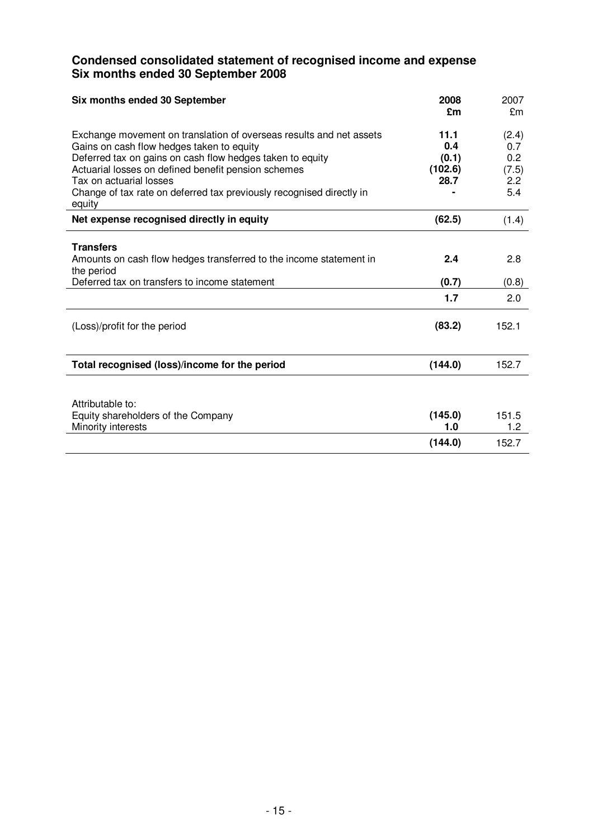#### **Condensed consolidated statement of recognised income and expense Six months ended 30 September 2008**

| Six months ended 30 September                                                                                                                                                                                                                                                                                                                     | 2008<br>£m                              | 2007<br>£m                                 |
|---------------------------------------------------------------------------------------------------------------------------------------------------------------------------------------------------------------------------------------------------------------------------------------------------------------------------------------------------|-----------------------------------------|--------------------------------------------|
| Exchange movement on translation of overseas results and net assets<br>Gains on cash flow hedges taken to equity<br>Deferred tax on gains on cash flow hedges taken to equity<br>Actuarial losses on defined benefit pension schemes<br>Tax on actuarial losses<br>Change of tax rate on deferred tax previously recognised directly in<br>equity | 11.1<br>0.4<br>(0.1)<br>(102.6)<br>28.7 | (2.4)<br>0.7<br>0.2<br>(7.5)<br>2.2<br>5.4 |
| Net expense recognised directly in equity                                                                                                                                                                                                                                                                                                         | (62.5)                                  | (1.4)                                      |
| <b>Transfers</b><br>Amounts on cash flow hedges transferred to the income statement in<br>the period<br>Deferred tax on transfers to income statement                                                                                                                                                                                             | 2.4<br>(0.7)                            | 2.8<br>(0.8)                               |
|                                                                                                                                                                                                                                                                                                                                                   | 1.7                                     | 2.0                                        |
| (Loss)/profit for the period                                                                                                                                                                                                                                                                                                                      | (83.2)                                  | 152.1                                      |
| Total recognised (loss)/income for the period                                                                                                                                                                                                                                                                                                     | (144.0)                                 | 152.7                                      |
| Attributable to:<br>Equity shareholders of the Company<br>Minority interests                                                                                                                                                                                                                                                                      | (145.0)<br>1.0                          | 151.5<br>1.2                               |
|                                                                                                                                                                                                                                                                                                                                                   | (144.0)                                 | 152.7                                      |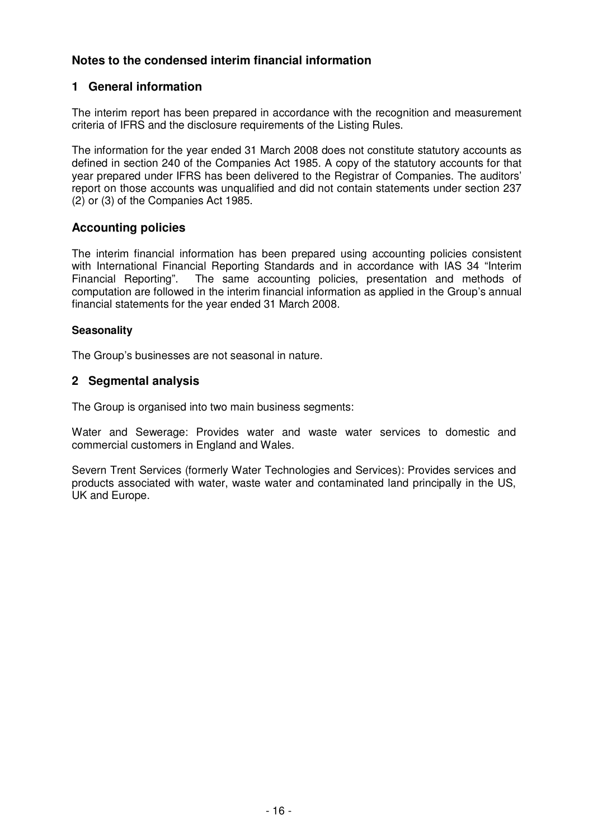# **Notes to the condensed interim financial information**

## **1 General information**

The interim report has been prepared in accordance with the recognition and measurement criteria of IFRS and the disclosure requirements of the Listing Rules.

The information for the year ended 31 March 2008 does not constitute statutory accounts as defined in section 240 of the Companies Act 1985. A copy of the statutory accounts for that year prepared under IFRS has been delivered to the Registrar of Companies. The auditors' report on those accounts was unqualified and did not contain statements under section 237 (2) or (3) of the Companies Act 1985.

#### **Accounting policies**

The interim financial information has been prepared using accounting policies consistent with International Financial Reporting Standards and in accordance with IAS 34 "Interim Financial Reporting". The same accounting policies, presentation and methods of computation are followed in the interim financial information as applied in the Group's annual financial statements for the year ended 31 March 2008.

#### **Seasonality**

The Group's businesses are not seasonal in nature.

#### **2 Segmental analysis**

The Group is organised into two main business segments:

Water and Sewerage: Provides water and waste water services to domestic and commercial customers in England and Wales.

Severn Trent Services (formerly Water Technologies and Services): Provides services and products associated with water, waste water and contaminated land principally in the US, UK and Europe.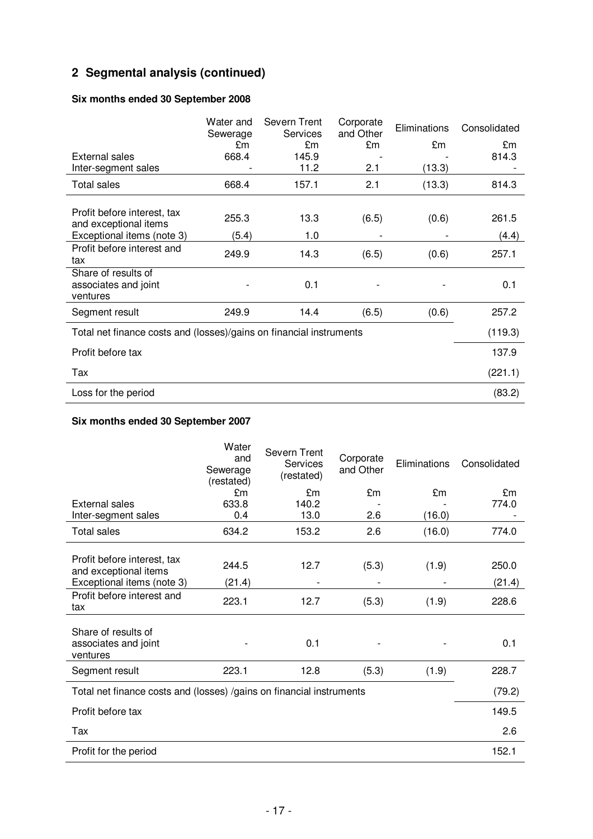# **2 Segmental analysis (continued)**

# **Six months ended 30 September 2008**

|                                                                     | Water and<br>Sewerage | Severn Trent<br>Services | Corporate<br>and Other | Eliminations | Consolidated |
|---------------------------------------------------------------------|-----------------------|--------------------------|------------------------|--------------|--------------|
|                                                                     | £m                    | £m                       | £m                     | £m           | £m           |
| External sales                                                      | 668.4                 | 145.9                    |                        |              | 814.3        |
| Inter-segment sales                                                 |                       | 11.2                     | 2.1                    | (13.3)       |              |
| Total sales                                                         | 668.4                 | 157.1                    | 2.1                    | (13.3)       | 814.3        |
|                                                                     |                       |                          |                        |              |              |
| Profit before interest, tax<br>and exceptional items                | 255.3                 | 13.3                     | (6.5)                  | (0.6)        | 261.5        |
| Exceptional items (note 3)                                          | (5.4)                 | 1.0                      |                        |              | (4.4)        |
| Profit before interest and<br>tax                                   | 249.9                 | 14.3                     | (6.5)                  | (0.6)        | 257.1        |
| Share of results of                                                 |                       |                          |                        |              |              |
| associates and joint<br>ventures                                    |                       | 0.1                      |                        |              | 0.1          |
| Segment result                                                      | 249.9                 | 14.4                     | (6.5)                  | (0.6)        | 257.2        |
| Total net finance costs and (losses)/gains on financial instruments |                       |                          |                        |              | (119.3)      |
| Profit before tax                                                   |                       |                          |                        |              | 137.9        |
| Tax                                                                 |                       |                          |                        |              | (221.1)      |
| Loss for the period                                                 |                       |                          |                        |              | (83.2)       |

# **Six months ended 30 September 2007**

|                                                                      | Water<br>and<br>Sewerage<br>(restated) | Severn Trent<br>Services<br>(restated) | Corporate<br>and Other | Eliminations | Consolidated |
|----------------------------------------------------------------------|----------------------------------------|----------------------------------------|------------------------|--------------|--------------|
|                                                                      | £m                                     | £m                                     | £m                     | £m           | £m           |
| <b>External sales</b><br>Inter-segment sales                         | 633.8<br>0.4                           | 140.2<br>13.0                          | 2.6                    | (16.0)       | 774.0        |
| <b>Total sales</b>                                                   | 634.2                                  | 153.2                                  | 2.6                    | (16.0)       | 774.0        |
| Profit before interest, tax<br>and exceptional items                 | 244.5                                  | 12.7                                   | (5.3)                  | (1.9)        | 250.0        |
| Exceptional items (note 3)                                           | (21.4)                                 |                                        |                        |              | (21.4)       |
| Profit before interest and<br>tax                                    | 223.1                                  | 12.7                                   | (5.3)                  | (1.9)        | 228.6        |
| Share of results of<br>associates and joint<br>ventures              |                                        | 0.1                                    |                        |              | 0.1          |
| Segment result                                                       | 223.1                                  | 12.8                                   | (5.3)                  | (1.9)        | 228.7        |
| Total net finance costs and (losses) /gains on financial instruments |                                        |                                        |                        |              | (79.2)       |
| Profit before tax                                                    |                                        |                                        |                        |              | 149.5        |
| Tax                                                                  |                                        |                                        |                        |              | 2.6          |
| Profit for the period                                                |                                        |                                        |                        |              | 152.1        |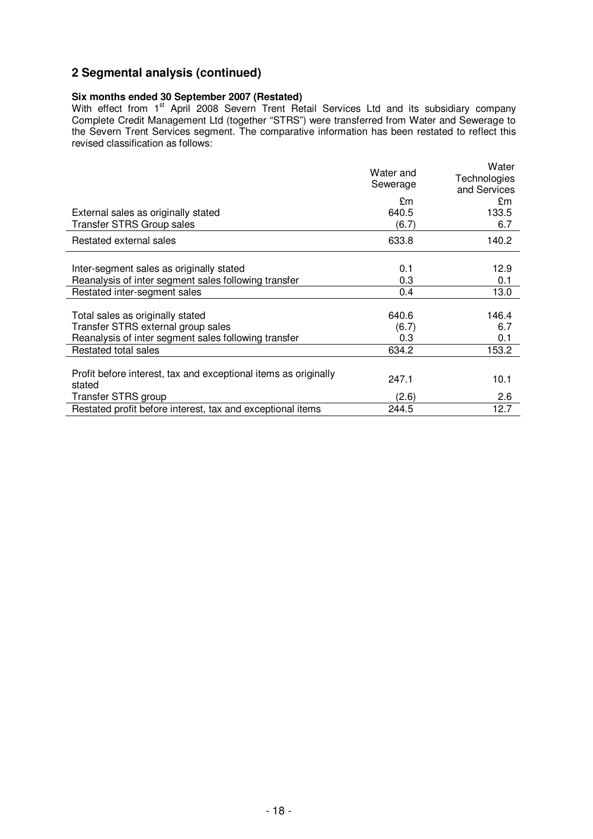# **2 Segmental analysis (continued)**

#### **Six months ended 30 September 2007 (Restated)**

With effect from 1<sup>st</sup> April 2008 Severn Trent Retail Services Ltd and its subsidiary company Complete Credit Management Ltd (together "STRS") were transferred from Water and Sewerage to the Severn Trent Services segment. The comparative information has been restated to reflect this revised classification as follows:

|                                                                           | Water and<br>Sewerage | Water<br>Technologies<br>and Services |
|---------------------------------------------------------------------------|-----------------------|---------------------------------------|
|                                                                           | £m                    | £m                                    |
| External sales as originally stated                                       | 640.5                 | 133.5                                 |
| Transfer STRS Group sales                                                 | (6.7)                 | 6.7                                   |
| Restated external sales                                                   | 633.8                 | 140.2                                 |
|                                                                           |                       |                                       |
| Inter-segment sales as originally stated                                  | 0.1                   | 12.9                                  |
| Reanalysis of inter segment sales following transfer                      | 0.3                   | 0.1                                   |
| Restated inter-segment sales                                              | 0.4                   | 13.0                                  |
|                                                                           |                       |                                       |
| Total sales as originally stated                                          | 640.6                 | 146.4                                 |
| Transfer STRS external group sales                                        | (6.7)                 | 6.7                                   |
| Reanalysis of inter segment sales following transfer                      | 0.3                   | 0.1                                   |
| Restated total sales                                                      | 634.2                 | 153.2                                 |
|                                                                           |                       |                                       |
| Profit before interest, tax and exceptional items as originally<br>stated | 247.1                 | 10.1                                  |
| Transfer STRS group                                                       | (2.6)                 | 2.6                                   |
| Restated profit before interest, tax and exceptional items                | 244.5                 | 12.7                                  |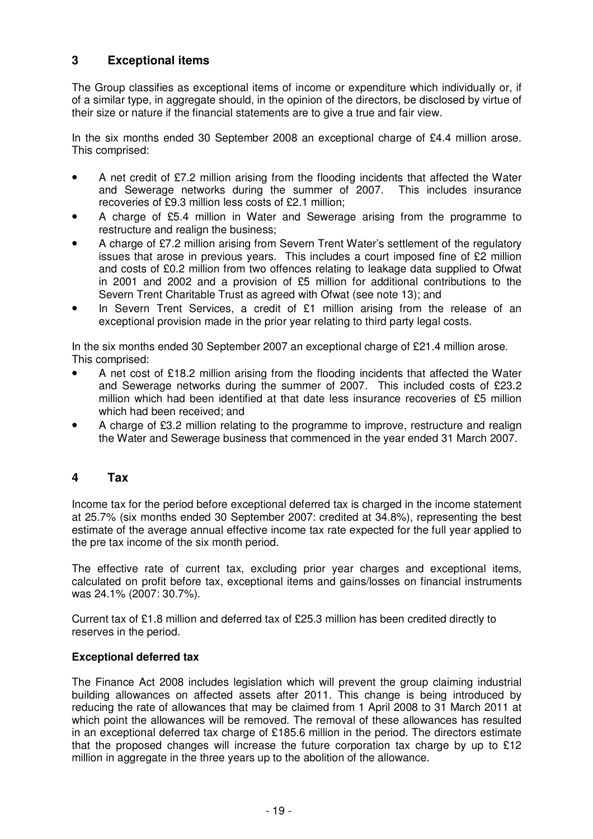# **3 Exceptional items**

The Group classifies as exceptional items of income or expenditure which individually or, if of a similar type, in aggregate should, in the opinion of the directors, be disclosed by virtue of their size or nature if the financial statements are to give a true and fair view.

In the six months ended 30 September 2008 an exceptional charge of £4.4 million arose. This comprised:

- A net credit of £7.2 million arising from the flooding incidents that affected the Water and Sewerage networks during the summer of 2007. This includes insurance recoveries of £9.3 million less costs of £2.1 million;
- A charge of £5.4 million in Water and Sewerage arising from the programme to restructure and realign the business;
- A charge of £7.2 million arising from Severn Trent Water's settlement of the regulatory issues that arose in previous years. This includes a court imposed fine of £2 million and costs of £0.2 million from two offences relating to leakage data supplied to Ofwat in 2001 and 2002 and a provision of £5 million for additional contributions to the Severn Trent Charitable Trust as agreed with Ofwat (see note 13); and
- In Severn Trent Services, a credit of £1 million arising from the release of an exceptional provision made in the prior year relating to third party legal costs.

In the six months ended 30 September 2007 an exceptional charge of £21.4 million arose. This comprised:

- A net cost of £18.2 million arising from the flooding incidents that affected the Water and Sewerage networks during the summer of 2007. This included costs of £23.2 million which had been identified at that date less insurance recoveries of £5 million which had been received; and
- A charge of £3.2 million relating to the programme to improve, restructure and realign the Water and Sewerage business that commenced in the year ended 31 March 2007.

# **4 Tax**

Income tax for the period before exceptional deferred tax is charged in the income statement at 25.7% (six months ended 30 September 2007: credited at 34.8%), representing the best estimate of the average annual effective income tax rate expected for the full year applied to the pre tax income of the six month period.

The effective rate of current tax, excluding prior year charges and exceptional items, calculated on profit before tax, exceptional items and gains/losses on financial instruments was 24.1% (2007: 30.7%).

Current tax of £1.8 million and deferred tax of £25.3 million has been credited directly to reserves in the period.

#### **Exceptional deferred tax**

The Finance Act 2008 includes legislation which will prevent the group claiming industrial building allowances on affected assets after 2011. This change is being introduced by reducing the rate of allowances that may be claimed from 1 April 2008 to 31 March 2011 at which point the allowances will be removed. The removal of these allowances has resulted in an exceptional deferred tax charge of £185.6 million in the period. The directors estimate that the proposed changes will increase the future corporation tax charge by up to £12 million in aggregate in the three years up to the abolition of the allowance.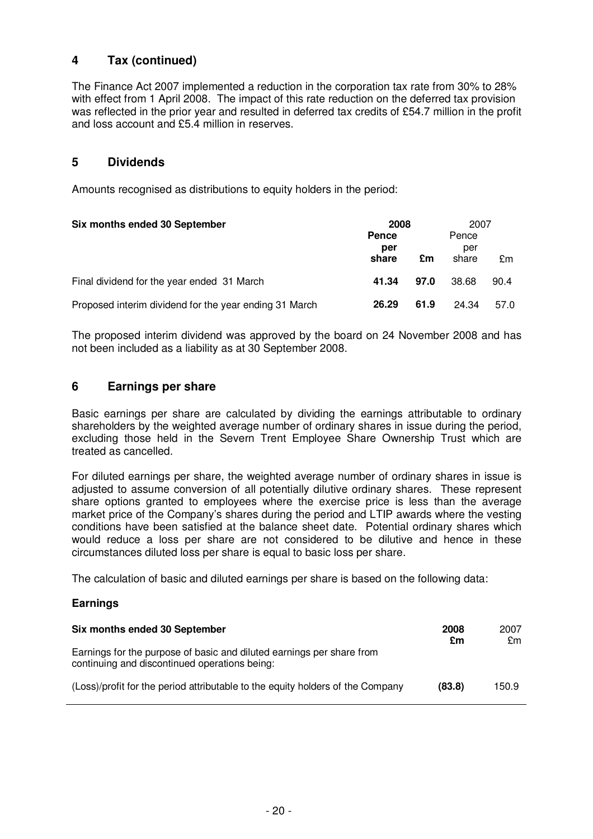# **4 Tax (continued)**

The Finance Act 2007 implemented a reduction in the corporation tax rate from 30% to 28% with effect from 1 April 2008. The impact of this rate reduction on the deferred tax provision was reflected in the prior year and resulted in deferred tax credits of £54.7 million in the profit and loss account and £5.4 million in reserves.

#### **5 Dividends**

Amounts recognised as distributions to equity holders in the period:

| Six months ended 30 September                          | 2008         |      | 2007         |      |
|--------------------------------------------------------|--------------|------|--------------|------|
|                                                        | <b>Pence</b> |      | Pence        |      |
|                                                        | per<br>share | £m   | per<br>share | £m   |
| Final dividend for the year ended 31 March             | 41.34        | 97.0 | 38.68        | 90.4 |
| Proposed interim dividend for the year ending 31 March | 26.29        | 61.9 | 24.34        | 57.0 |

The proposed interim dividend was approved by the board on 24 November 2008 and has not been included as a liability as at 30 September 2008.

#### **6 Earnings per share**

Basic earnings per share are calculated by dividing the earnings attributable to ordinary shareholders by the weighted average number of ordinary shares in issue during the period, excluding those held in the Severn Trent Employee Share Ownership Trust which are treated as cancelled.

For diluted earnings per share, the weighted average number of ordinary shares in issue is adjusted to assume conversion of all potentially dilutive ordinary shares. These represent share options granted to employees where the exercise price is less than the average market price of the Company's shares during the period and LTIP awards where the vesting conditions have been satisfied at the balance sheet date. Potential ordinary shares which would reduce a loss per share are not considered to be dilutive and hence in these circumstances diluted loss per share is equal to basic loss per share.

The calculation of basic and diluted earnings per share is based on the following data:

#### **Earnings**

| Six months ended 30 September                                                                                          | 2008<br>£m | 2007<br>£m |
|------------------------------------------------------------------------------------------------------------------------|------------|------------|
| Earnings for the purpose of basic and diluted earnings per share from<br>continuing and discontinued operations being: |            |            |
| (Loss)/profit for the period attributable to the equity holders of the Company                                         | (83.8)     | 150.9      |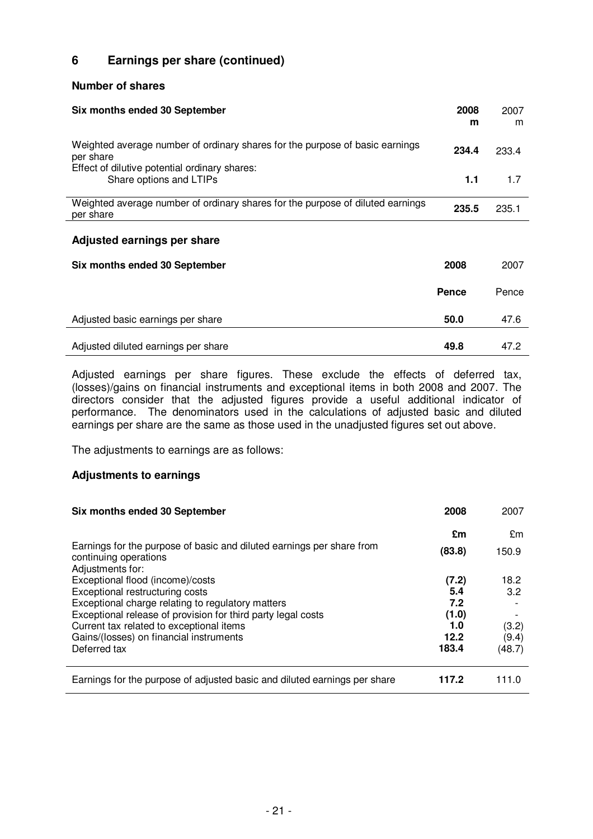## **6 Earnings per share (continued)**

#### **Number of shares**

| Six months ended 30 September                                                               | 2008<br>m    | 2007<br>m |
|---------------------------------------------------------------------------------------------|--------------|-----------|
| Weighted average number of ordinary shares for the purpose of basic earnings<br>per share   | 234.4        | 233.4     |
| Effect of dilutive potential ordinary shares:<br>Share options and LTIPs                    | 1.1          | 1.7       |
| Weighted average number of ordinary shares for the purpose of diluted earnings<br>per share | 235.5        | 235.1     |
| Adjusted earnings per share                                                                 |              |           |
| Six months ended 30 September                                                               | 2008         | 2007      |
|                                                                                             | <b>Pence</b> | Pence     |
| Adjusted basic earnings per share                                                           | 50.0         | 47.6      |
| Adjusted diluted earnings per share                                                         | 49.8         | 47.2      |

Adjusted earnings per share figures. These exclude the effects of deferred tax, (losses)/gains on financial instruments and exceptional items in both 2008 and 2007. The directors consider that the adjusted figures provide a useful additional indicator of performance. The denominators used in the calculations of adjusted basic and diluted earnings per share are the same as those used in the unadjusted figures set out above.

The adjustments to earnings are as follows:

#### **Adjustments to earnings**

| Six months ended 30 September                                                                                      | 2008   | 2007   |
|--------------------------------------------------------------------------------------------------------------------|--------|--------|
|                                                                                                                    | £m     | £m     |
| Earnings for the purpose of basic and diluted earnings per share from<br>continuing operations<br>Adjustments for: | (83.8) | 150.9  |
| Exceptional flood (income)/costs                                                                                   | (7.2)  | 18.2   |
| Exceptional restructuring costs                                                                                    | 5.4    | 3.2    |
| Exceptional charge relating to regulatory matters                                                                  | 7.2    |        |
| Exceptional release of provision for third party legal costs                                                       | (1.0)  |        |
| Current tax related to exceptional items                                                                           | 1.0    | (3.2)  |
| Gains/(losses) on financial instruments                                                                            | 12.2   | (9.4)  |
| Deferred tax                                                                                                       | 183.4  | (48.7) |
| Earnings for the purpose of adjusted basic and diluted earnings per share                                          | 117.2  | 111.0  |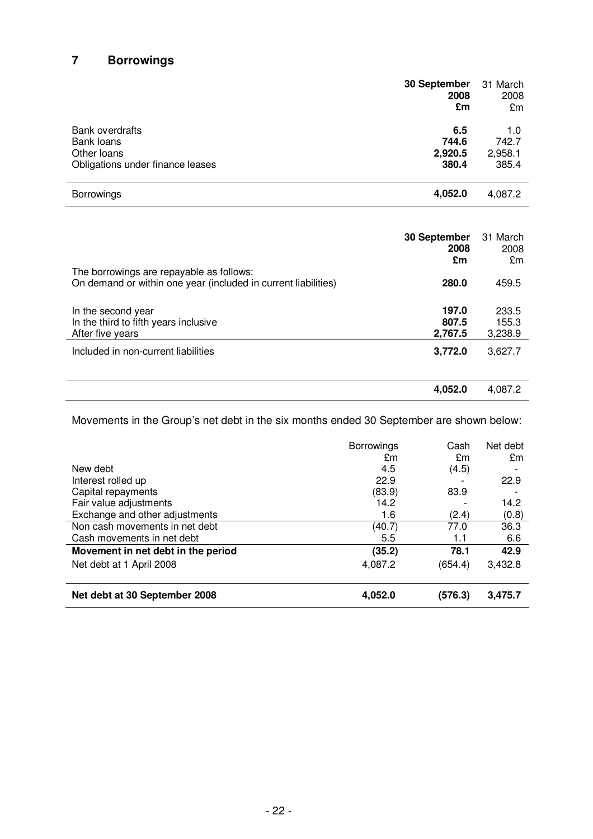# **7 Borrowings**

|                                                                | 30 September<br>2008 | 31 March<br>2008 |
|----------------------------------------------------------------|----------------------|------------------|
|                                                                | £m                   | £m               |
| <b>Bank overdrafts</b>                                         | 6.5                  | 1.0              |
| Bank loans<br>Other Ioans                                      | 744.6<br>2,920.5     | 742.7<br>2,958.1 |
| Obligations under finance leases                               | 380.4                | 385.4            |
| <b>Borrowings</b>                                              | 4,052.0              | 4,087.2          |
|                                                                |                      |                  |
|                                                                | 30 September         | 31 March         |
|                                                                | 2008<br>£m           | 2008<br>£m       |
| The borrowings are repayable as follows:                       |                      |                  |
| On demand or within one year (included in current liabilities) | 280.0                | 459.5            |
| In the second year                                             | 197.0                | 233.5            |
| In the third to fifth years inclusive                          | 807.5                | 155.3            |
| After five years                                               | 2,767.5              | 3,238.9          |
| Included in non-current liabilities                            | 3,772.0              | 3,627.7          |
|                                                                | 4,052.0              | 4,087.2          |

Movements in the Group's net debt in the six months ended 30 September are shown below:

|                                    | <b>Borrowings</b><br>£m | Cash<br>£m | Net debt<br>£m |
|------------------------------------|-------------------------|------------|----------------|
| New debt                           | 4.5                     | (4.5)      |                |
| Interest rolled up                 | 22.9                    |            | 22.9           |
| Capital repayments                 | (83.9)                  | 83.9       |                |
| Fair value adjustments             | 14.2                    |            | 14.2           |
| Exchange and other adjustments     | 1.6                     | (2.4)      | (0.8)          |
| Non cash movements in net debt     | (40.7)                  | 77.0       | 36.3           |
| Cash movements in net debt         | 5.5                     | 1.1        | 6.6            |
| Movement in net debt in the period | (35.2)                  | 78.1       | 42.9           |
| Net debt at 1 April 2008           | 4,087.2                 | (654.4)    | 3,432.8        |
| Net debt at 30 September 2008      | 4,052.0                 | (576.3)    | 3,475.7        |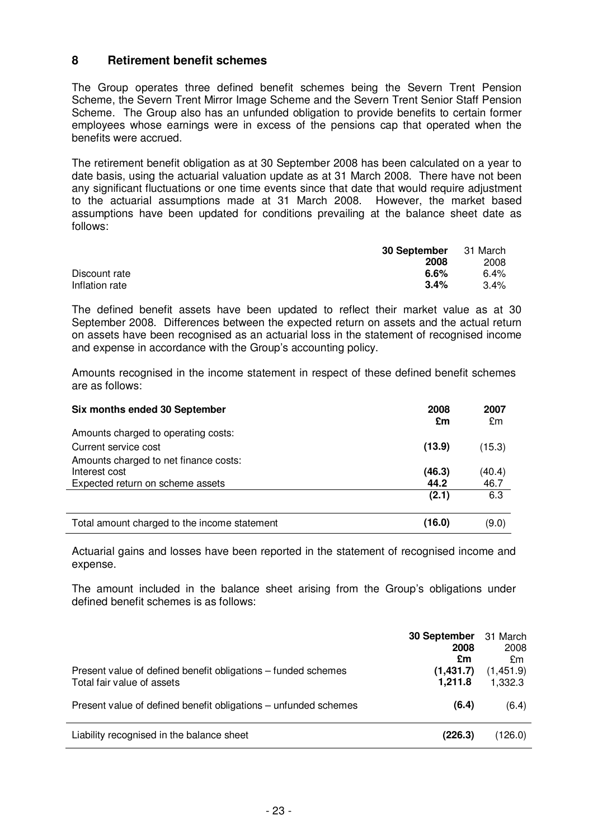#### **8 Retirement benefit schemes**

The Group operates three defined benefit schemes being the Severn Trent Pension Scheme, the Severn Trent Mirror Image Scheme and the Severn Trent Senior Staff Pension Scheme. The Group also has an unfunded obligation to provide benefits to certain former employees whose earnings were in excess of the pensions cap that operated when the benefits were accrued.

The retirement benefit obligation as at 30 September 2008 has been calculated on a year to date basis, using the actuarial valuation update as at 31 March 2008. There have not been any significant fluctuations or one time events since that date that would require adjustment to the actuarial assumptions made at 31 March 2008. However, the market based assumptions have been updated for conditions prevailing at the balance sheet date as follows:

|                | 30 September | 31 March |
|----------------|--------------|----------|
|                | 2008         | 2008     |
| Discount rate  | 6.6%         | $6.4\%$  |
| Inflation rate | $3.4\%$      | $3.4\%$  |

The defined benefit assets have been updated to reflect their market value as at 30 September 2008. Differences between the expected return on assets and the actual return on assets have been recognised as an actuarial loss in the statement of recognised income and expense in accordance with the Group's accounting policy.

Amounts recognised in the income statement in respect of these defined benefit schemes are as follows:

| Six months ended 30 September                | 2008<br>£m | 2007<br>£m |
|----------------------------------------------|------------|------------|
| Amounts charged to operating costs:          |            |            |
| Current service cost                         | (13.9)     | (15.3)     |
| Amounts charged to net finance costs:        |            |            |
| Interest cost                                | (46.3)     | (40.4)     |
| Expected return on scheme assets             | 44.2       | 46.7       |
|                                              | (2.1)      | 6.3        |
|                                              |            |            |
| Total amount charged to the income statement | (16.0)     | (9.0)      |

Actuarial gains and losses have been reported in the statement of recognised income and expense.

The amount included in the balance sheet arising from the Group's obligations under defined benefit schemes is as follows:

|                                                                                             | 30 September<br>2008<br>£m | 31 March<br>2008<br>£m |
|---------------------------------------------------------------------------------------------|----------------------------|------------------------|
| Present value of defined benefit obligations – funded schemes<br>Total fair value of assets | (1, 431.7)<br>1.211.8      | (1,451.9)<br>1,332.3   |
| Present value of defined benefit obligations – unfunded schemes                             | (6.4)                      | (6.4)                  |
| Liability recognised in the balance sheet                                                   | (226.3)                    | (126.0)                |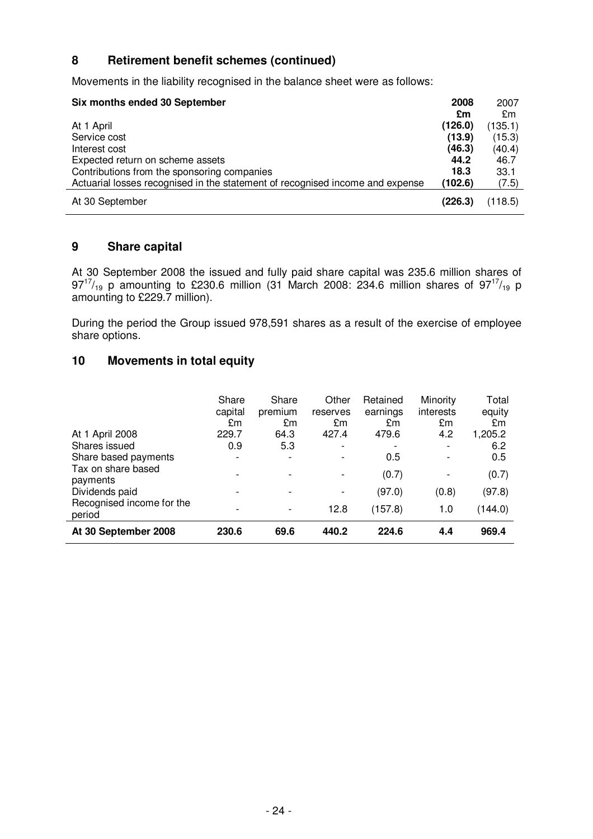## **8 Retirement benefit schemes (continued)**

Movements in the liability recognised in the balance sheet were as follows:

| Six months ended 30 September                                                 | 2008    | 2007    |
|-------------------------------------------------------------------------------|---------|---------|
|                                                                               | £m      | £m      |
| At 1 April                                                                    | (126.0) | (135.1) |
| Service cost                                                                  | (13.9)  | (15.3)  |
| Interest cost                                                                 | (46.3)  | (40.4)  |
| Expected return on scheme assets                                              | 44.2    | 46.7    |
| Contributions from the sponsoring companies                                   | 18.3    | 33.1    |
| Actuarial losses recognised in the statement of recognised income and expense | (102.6) | (7.5)   |
| At 30 September                                                               | (226.3) | (118.5) |

## **9 Share capital**

At 30 September 2008 the issued and fully paid share capital was 235.6 million shares of 97<sup>17</sup>/<sub>19</sub> p amounting to £230.6 million (31 March 2008: 234.6 million shares of 97<sup>17</sup>/<sub>19</sub> p amounting to £229.7 million).

During the period the Group issued 978,591 shares as a result of the exercise of employee share options.

#### **10 Movements in total equity**

|                                     | Share<br>capital<br>£m | Share<br>premium<br>£m   | Other<br>reserves<br>£m | Retained<br>earnings<br>£m | Minority<br>interests<br>£m | Total<br>equity<br>£m |
|-------------------------------------|------------------------|--------------------------|-------------------------|----------------------------|-----------------------------|-----------------------|
| At 1 April 2008                     | 229.7                  | 64.3                     | 427.4                   | 479.6                      | 4.2                         | 1,205.2               |
| Shares issued                       | 0.9                    | 5.3                      | -                       |                            |                             | 6.2                   |
| Share based payments                | ٠                      | $\overline{\phantom{0}}$ |                         | 0.5                        |                             | 0.5                   |
| Tax on share based<br>payments      |                        | $\overline{\phantom{0}}$ |                         | (0.7)                      |                             | (0.7)                 |
| Dividends paid                      | -                      |                          |                         | (97.0)                     | (0.8)                       | (97.8)                |
| Recognised income for the<br>period |                        |                          | 12.8                    | (157.8)                    | 1.0                         | (144.0)               |
| At 30 September 2008                | 230.6                  | 69.6                     | 440.2                   | 224.6                      | 4.4                         | 969.4                 |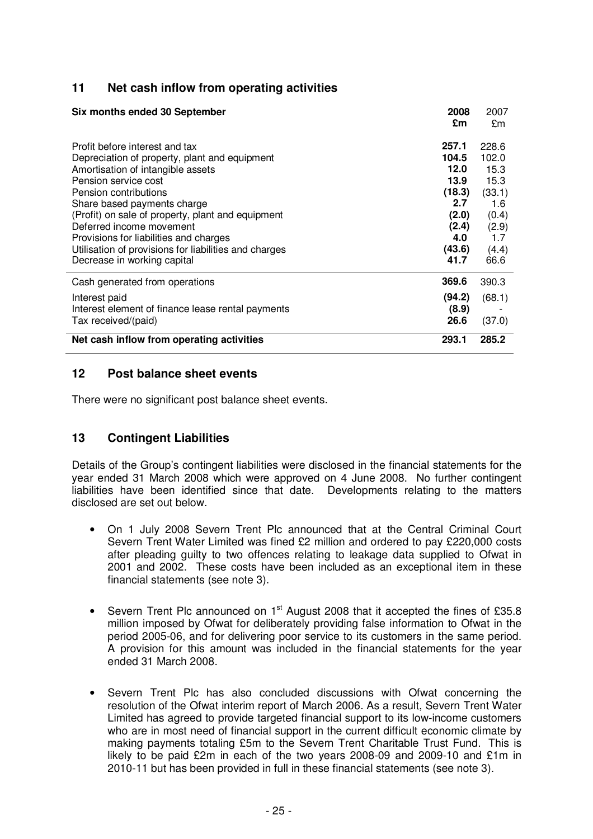## **11 Net cash inflow from operating activities**

| Six months ended 30 September                                                                                                                                                                                                                                                                                                                                                                                           | 2008<br>£m                                                                                 | 2007<br>£m                                                                                |
|-------------------------------------------------------------------------------------------------------------------------------------------------------------------------------------------------------------------------------------------------------------------------------------------------------------------------------------------------------------------------------------------------------------------------|--------------------------------------------------------------------------------------------|-------------------------------------------------------------------------------------------|
| Profit before interest and tax<br>Depreciation of property, plant and equipment<br>Amortisation of intangible assets<br>Pension service cost<br>Pension contributions<br>Share based payments charge<br>(Profit) on sale of property, plant and equipment<br>Deferred income movement<br>Provisions for liabilities and charges<br>Utilisation of provisions for liabilities and charges<br>Decrease in working capital | 257.1<br>104.5<br>12.0<br>13.9<br>(18.3)<br>2.7<br>(2.0)<br>(2.4)<br>4.0<br>(43.6)<br>41.7 | 228.6<br>102.0<br>15.3<br>15.3<br>(33.1)<br>1.6<br>(0.4)<br>(2.9)<br>1.7<br>(4.4)<br>66.6 |
| Cash generated from operations<br>Interest paid<br>Interest element of finance lease rental payments<br>Tax received/(paid)                                                                                                                                                                                                                                                                                             | 369.6<br>(94.2)<br>(8.9)<br>26.6                                                           | 390.3<br>(68.1)<br>(37.0)                                                                 |
| Net cash inflow from operating activities                                                                                                                                                                                                                                                                                                                                                                               | 293.1                                                                                      | 285.2                                                                                     |

#### **12 Post balance sheet events**

There were no significant post balance sheet events.

#### **13 Contingent Liabilities**

Details of the Group's contingent liabilities were disclosed in the financial statements for the year ended 31 March 2008 which were approved on 4 June 2008. No further contingent liabilities have been identified since that date. Developments relating to the matters disclosed are set out below.

- On 1 July 2008 Severn Trent Plc announced that at the Central Criminal Court Severn Trent Water Limited was fined £2 million and ordered to pay £220,000 costs after pleading guilty to two offences relating to leakage data supplied to Ofwat in 2001 and 2002. These costs have been included as an exceptional item in these financial statements (see note 3).
- Severn Trent Plc announced on 1<sup>st</sup> August 2008 that it accepted the fines of £35.8 million imposed by Ofwat for deliberately providing false information to Ofwat in the period 2005-06, and for delivering poor service to its customers in the same period. A provision for this amount was included in the financial statements for the year ended 31 March 2008.
- Severn Trent Plc has also concluded discussions with Ofwat concerning the resolution of the Ofwat interim report of March 2006. As a result, Severn Trent Water Limited has agreed to provide targeted financial support to its low-income customers who are in most need of financial support in the current difficult economic climate by making payments totaling £5m to the Severn Trent Charitable Trust Fund. This is likely to be paid £2m in each of the two years 2008-09 and 2009-10 and £1m in 2010-11 but has been provided in full in these financial statements (see note 3).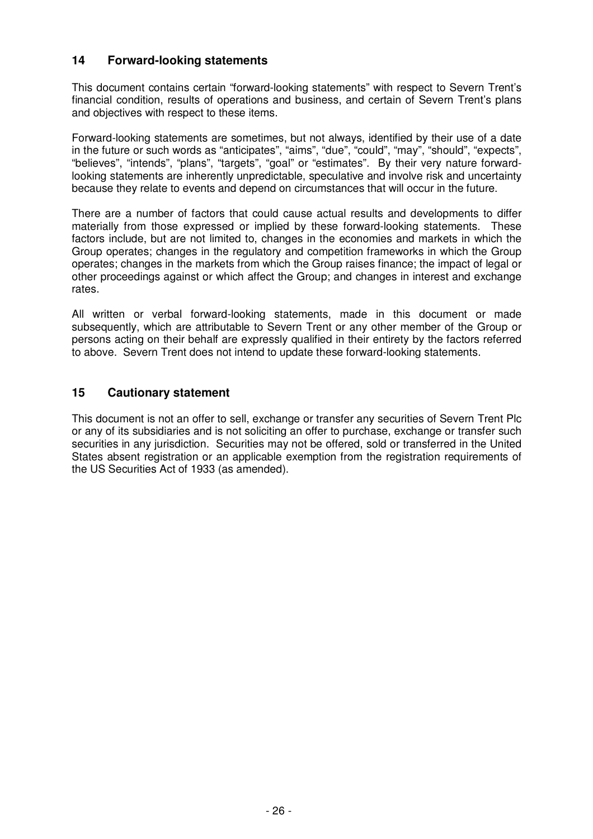#### **14 Forward-looking statements**

This document contains certain "forward-looking statements" with respect to Severn Trent's financial condition, results of operations and business, and certain of Severn Trent's plans and objectives with respect to these items.

Forward-looking statements are sometimes, but not always, identified by their use of a date in the future or such words as "anticipates", "aims", "due", "could", "may", "should", "expects", "believes", "intends", "plans", "targets", "goal" or "estimates". By their very nature forwardlooking statements are inherently unpredictable, speculative and involve risk and uncertainty because they relate to events and depend on circumstances that will occur in the future.

There are a number of factors that could cause actual results and developments to differ materially from those expressed or implied by these forward-looking statements. These factors include, but are not limited to, changes in the economies and markets in which the Group operates; changes in the regulatory and competition frameworks in which the Group operates; changes in the markets from which the Group raises finance; the impact of legal or other proceedings against or which affect the Group; and changes in interest and exchange rates.

All written or verbal forward-looking statements, made in this document or made subsequently, which are attributable to Severn Trent or any other member of the Group or persons acting on their behalf are expressly qualified in their entirety by the factors referred to above. Severn Trent does not intend to update these forward-looking statements.

#### **15 Cautionary statement**

This document is not an offer to sell, exchange or transfer any securities of Severn Trent Plc or any of its subsidiaries and is not soliciting an offer to purchase, exchange or transfer such securities in any jurisdiction. Securities may not be offered, sold or transferred in the United States absent registration or an applicable exemption from the registration requirements of the US Securities Act of 1933 (as amended).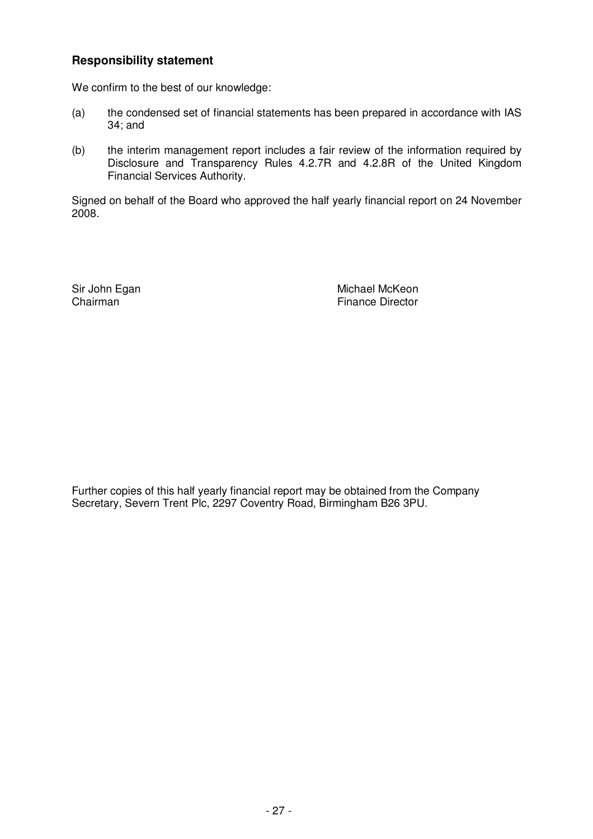## **Responsibility statement**

We confirm to the best of our knowledge:

- (a) the condensed set of financial statements has been prepared in accordance with IAS 34; and
- (b) the interim management report includes a fair review of the information required by Disclosure and Transparency Rules 4.2.7R and 4.2.8R of the United Kingdom Financial Services Authority.

Signed on behalf of the Board who approved the half yearly financial report on 24 November 2008.

Sir John Egan Michael McKeon<br>Chairman Michael McKeon<br>Finance Director Finance Director

Further copies of this half yearly financial report may be obtained from the Company Secretary, Severn Trent Plc, 2297 Coventry Road, Birmingham B26 3PU.